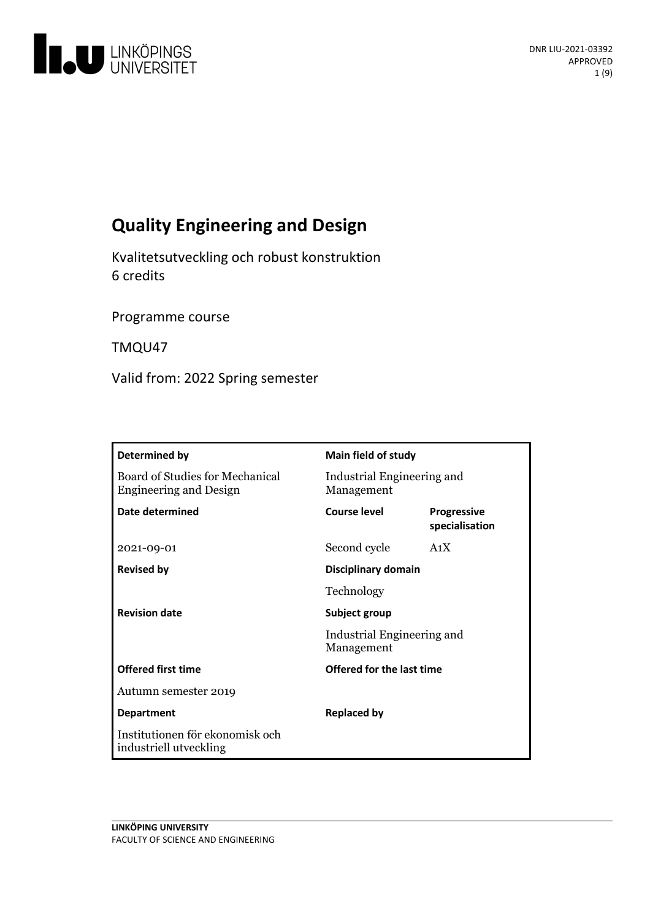

# **QualityEngineering and Design**

Kvalitetsutveckling och robust konstruktion 6 credits

Programme course

TMQU47

Valid from: 2022 Spring semester

| Determined by                                                    | Main field of study                                       |                                      |
|------------------------------------------------------------------|-----------------------------------------------------------|--------------------------------------|
| Board of Studies for Mechanical<br><b>Engineering and Design</b> | Industrial Engineering and<br>Management                  |                                      |
| Date determined                                                  | Course level                                              | <b>Progressive</b><br>specialisation |
| 2021-09-01                                                       | Second cycle                                              | A <sub>1</sub> X                     |
| <b>Revised by</b>                                                | Disciplinary domain                                       |                                      |
|                                                                  | Technology                                                |                                      |
| <b>Revision date</b>                                             | Subject group<br>Industrial Engineering and<br>Management |                                      |
|                                                                  |                                                           |                                      |
| <b>Offered first time</b>                                        | Offered for the last time                                 |                                      |
| Autumn semester 2019                                             |                                                           |                                      |
| <b>Department</b>                                                | <b>Replaced by</b>                                        |                                      |
| Institutionen för ekonomisk och<br>industriell utveckling        |                                                           |                                      |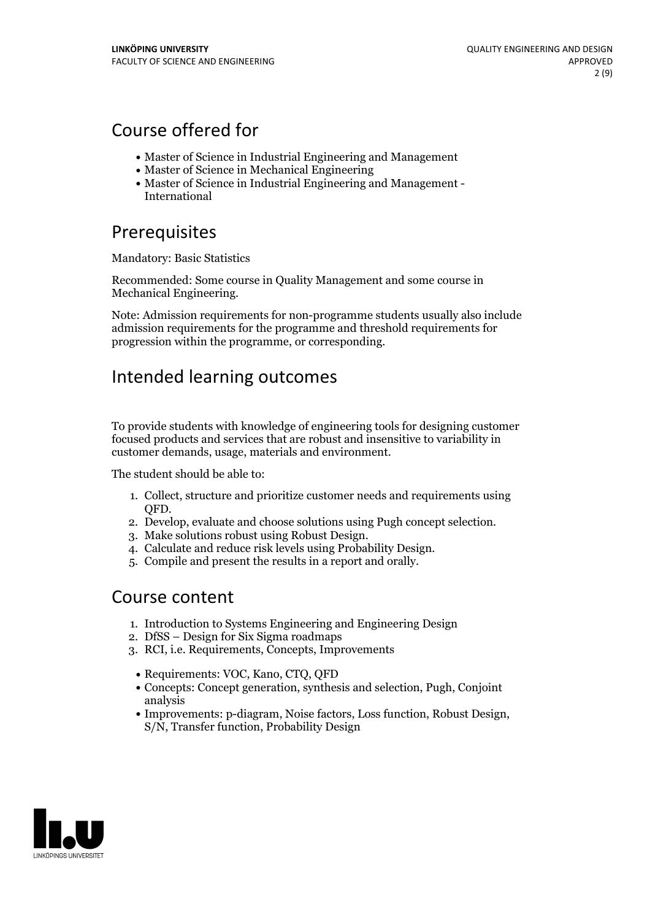## Course offered for

- Master of Science in Industrial Engineering and Management
- Master of Science in Mechanical Engineering
- Master of Science in Industrial Engineering and Management International

## Prerequisites

Mandatory: Basic Statistics

Recommended: Some course in Quality Management and some course in Mechanical Engineering.

Note: Admission requirements for non-programme students usually also include admission requirements for the programme and threshold requirements for progression within the programme, or corresponding.

## Intended learning outcomes

To provide students with knowledge of engineering tools for designing customer focused products and services that are robust and insensitive to variability in customer demands, usage, materials and environment.

The student should be able to:

- 1. Collect, structure and prioritize customer needs and requirements using
- QFD.<br>2. Develop, evaluate and choose solutions using Pugh concept selection.<br>3. Make solutions robust using Robust Design.<br>4. Calculate and reduce risk levels using Probability Design.<br>5. Compile and present the results in
- 
- 
- 

## Course content

- 1. Introduction to Systems Engineering and Engineering Design
- 2. DfSS Design for Six Sigma roadmaps
- 3. RCI, i.e. Requirements, Concepts, Improvements
- Requirements: VOC, Kano, CTQ, QFD
- Concepts: Concept generation, synthesis and selection, Pugh, Conjoint analysis
- Improvements: p-diagram, Noise factors, Loss function, Robust Design, S/N, Transfer function, Probability Design

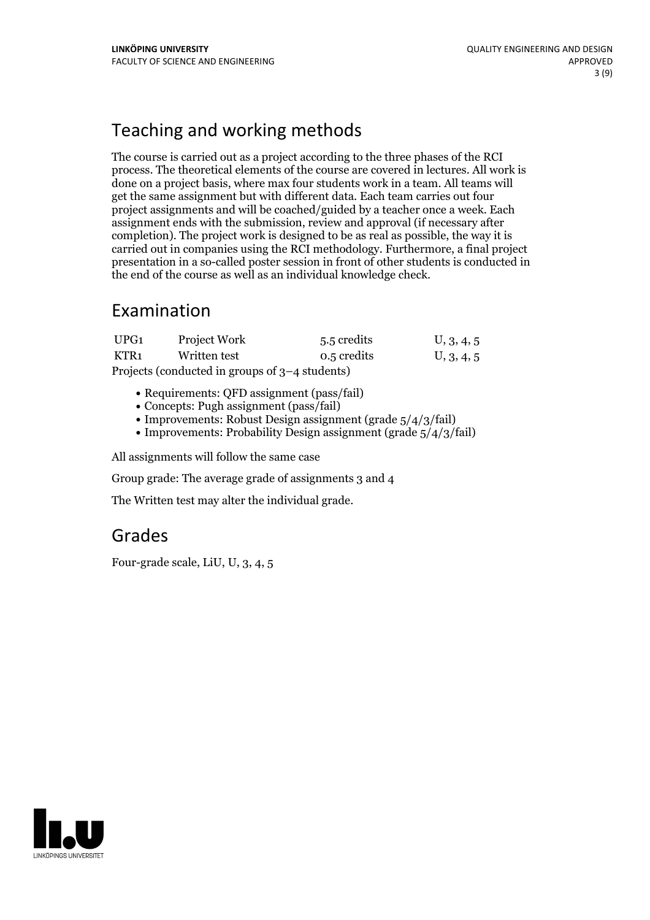## Teaching and working methods

The course is carried out as a project according to the three phases of the RCI process. The theoretical elements of the course are covered in lectures. All work is done on a project basis, where max four students work in a team. All teams will get the same assignment but with different data. Each team carries out four project assignments and will be coached/guided by a teacher once a week. Each assignment ends with the submission, review and approval (if necessary after completion). The project work is designed to be as real as possible, the way it is carried out in companies using the RCI methodology. Furthermore, a final project presentation in a so-called poster session in front of other students is conducted in the end of the course as well as an individual knowledge check.

## Examination

| UPG1                                             | <b>Project Work</b> | 5.5 credits | U, 3, 4, 5 |  |  |
|--------------------------------------------------|---------------------|-------------|------------|--|--|
| KTR1                                             | Written test        | 0.5 credits | U, 3, 4, 5 |  |  |
| Projects (conducted in groups of $3-4$ students) |                     |             |            |  |  |

- Requirements: QFD assignment (pass/fail)
- Concepts: Pugh assignment (pass/fail)
- Improvements: Robust Design assignment (grade  $5/4/3$ /fail)
- Improvements: Probability Design assignment (grade  $5/4/3$ /fail)

All assignments will follow the same case

Group grade: The average grade of assignments 3 and 4

The Written test may alter the individual grade.

## Grades

Four-grade scale, LiU, U, 3, 4, 5

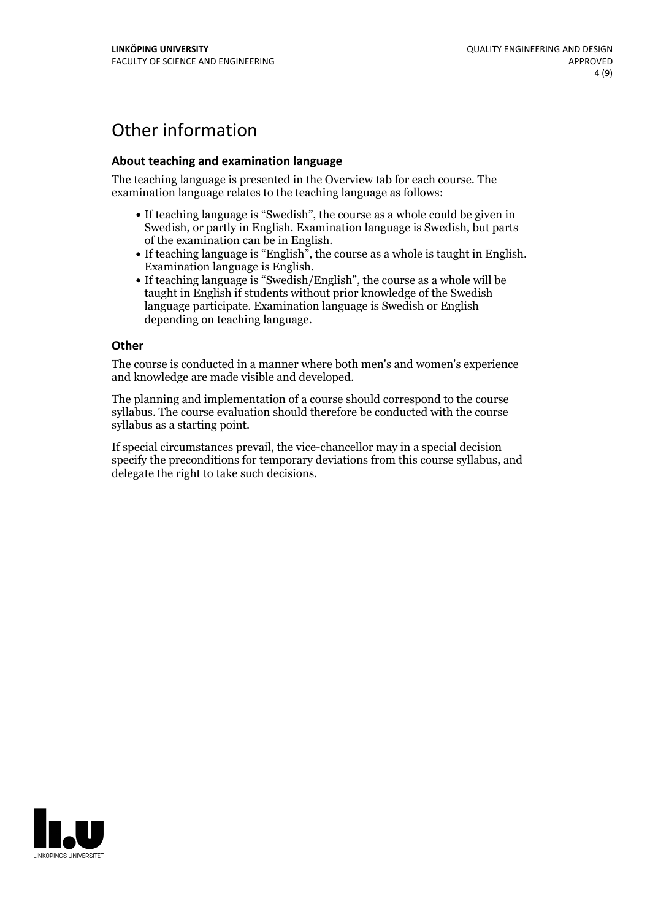## Other information

### **About teaching and examination language**

The teaching language is presented in the Overview tab for each course. The examination language relates to the teaching language as follows:

- If teaching language is "Swedish", the course as a whole could be given in Swedish, or partly in English. Examination language is Swedish, but parts
- of the examination can be in English. If teaching language is "English", the course as <sup>a</sup> whole is taught in English. Examination language is English. If teaching language is "Swedish/English", the course as <sup>a</sup> whole will be
- taught in English if students without prior knowledge of the Swedish language participate. Examination language is Swedish or English depending on teaching language.

#### **Other**

The course is conducted in a manner where both men's and women's experience and knowledge are made visible and developed.

The planning and implementation of a course should correspond to the course syllabus. The course evaluation should therefore be conducted with the course syllabus as a starting point.

If special circumstances prevail, the vice-chancellor may in a special decision specify the preconditions for temporary deviations from this course syllabus, and delegate the right to take such decisions.

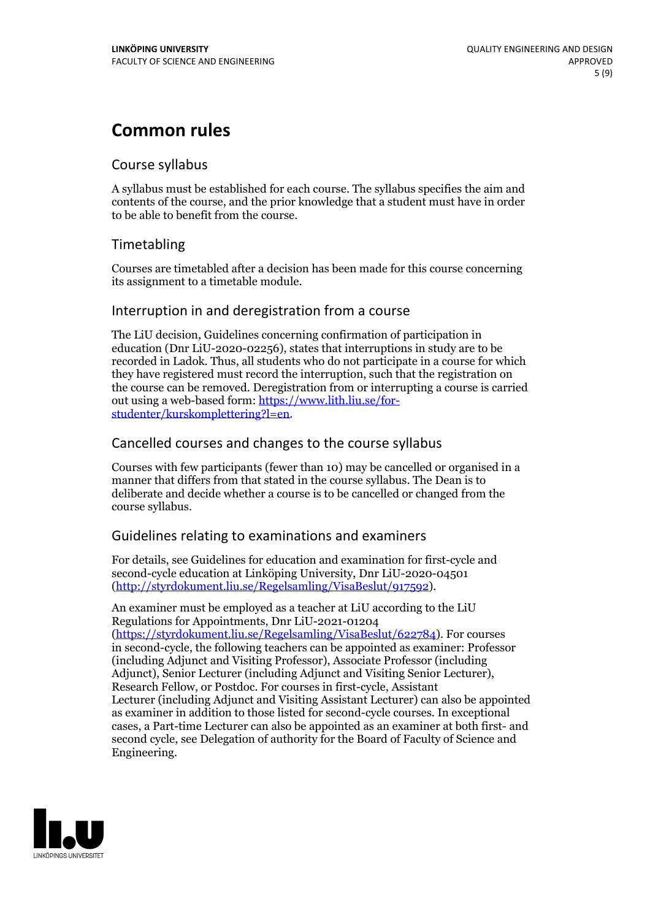## **Common rules**

### Course syllabus

A syllabus must be established for each course. The syllabus specifies the aim and contents of the course, and the prior knowledge that a student must have in order to be able to benefit from the course.

## Timetabling

Courses are timetabled after a decision has been made for this course concerning its assignment to a timetable module.

### Interruption in and deregistration from a course

The LiU decision, Guidelines concerning confirmation of participation in education (Dnr LiU-2020-02256), states that interruptions in study are to be recorded in Ladok. Thus, all students who do not participate in a course for which they have registered must record the interruption, such that the registration on the course can be removed. Deregistration from or interrupting a course is carried out using <sup>a</sup> web-based form: https://www.lith.liu.se/for- [studenter/kurskomplettering?l=en.](https://www.lith.liu.se/for-studenter/kurskomplettering?l=en)

## Cancelled courses and changes to the course syllabus

Courses with few participants (fewer than 10) may be cancelled or organised in a manner that differs from that stated in the course syllabus. The Dean is to deliberate and decide whether a course is to be cancelled or changed from the course syllabus.

## Guidelines relating to examinations and examiners

For details, see Guidelines for education and examination for first-cycle and second-cycle education at Linköping University, Dnr LiU-2020-04501 [\(http://styrdokument.liu.se/Regelsamling/VisaBeslut/917592\)](http://styrdokument.liu.se/Regelsamling/VisaBeslut/917592).

An examiner must be employed as a teacher at LiU according to the LiU Regulations for Appointments, Dnr LiU-2021-01204 [\(https://styrdokument.liu.se/Regelsamling/VisaBeslut/622784](https://styrdokument.liu.se/Regelsamling/VisaBeslut/622784)). For courses in second-cycle, the following teachers can be appointed as examiner: Professor (including Adjunct and Visiting Professor), Associate Professor (including Adjunct), Senior Lecturer (including Adjunct and Visiting Senior Lecturer), Research Fellow, or Postdoc. For courses in first-cycle, Assistant Lecturer (including Adjunct and Visiting Assistant Lecturer) can also be appointed as examiner in addition to those listed for second-cycle courses. In exceptional cases, a Part-time Lecturer can also be appointed as an examiner at both first- and second cycle, see Delegation of authority for the Board of Faculty of Science and Engineering.

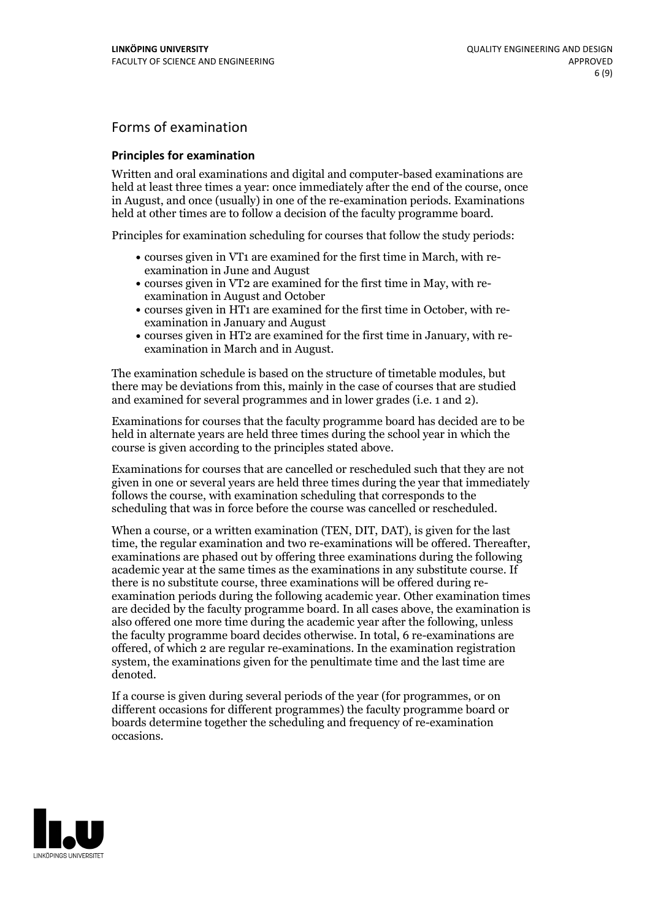## Forms of examination

#### **Principles for examination**

Written and oral examinations and digital and computer-based examinations are held at least three times a year: once immediately after the end of the course, once in August, and once (usually) in one of the re-examination periods. Examinations held at other times are to follow a decision of the faculty programme board.

Principles for examination scheduling for courses that follow the study periods:

- courses given in VT1 are examined for the first time in March, with re-examination in June and August
- courses given in VT2 are examined for the first time in May, with re-examination in August and October
- courses given in HT1 are examined for the first time in October, with re-examination in January and August
- courses given in HT2 are examined for the first time in January, with re-examination in March and in August.

The examination schedule is based on the structure of timetable modules, but there may be deviations from this, mainly in the case of courses that are studied and examined for several programmes and in lower grades (i.e. 1 and 2).

Examinations for courses that the faculty programme board has decided are to be held in alternate years are held three times during the school year in which the course is given according to the principles stated above.

Examinations for courses that are cancelled orrescheduled such that they are not given in one or several years are held three times during the year that immediately follows the course, with examination scheduling that corresponds to the scheduling that was in force before the course was cancelled or rescheduled.

When a course, or a written examination (TEN, DIT, DAT), is given for the last time, the regular examination and two re-examinations will be offered. Thereafter, examinations are phased out by offering three examinations during the following academic year at the same times as the examinations in any substitute course. If there is no substitute course, three examinations will be offered during re- examination periods during the following academic year. Other examination times are decided by the faculty programme board. In all cases above, the examination is also offered one more time during the academic year after the following, unless the faculty programme board decides otherwise. In total, 6 re-examinations are offered, of which 2 are regular re-examinations. In the examination registration system, the examinations given for the penultimate time and the last time are denoted.

If a course is given during several periods of the year (for programmes, or on different occasions for different programmes) the faculty programme board or boards determine together the scheduling and frequency of re-examination occasions.

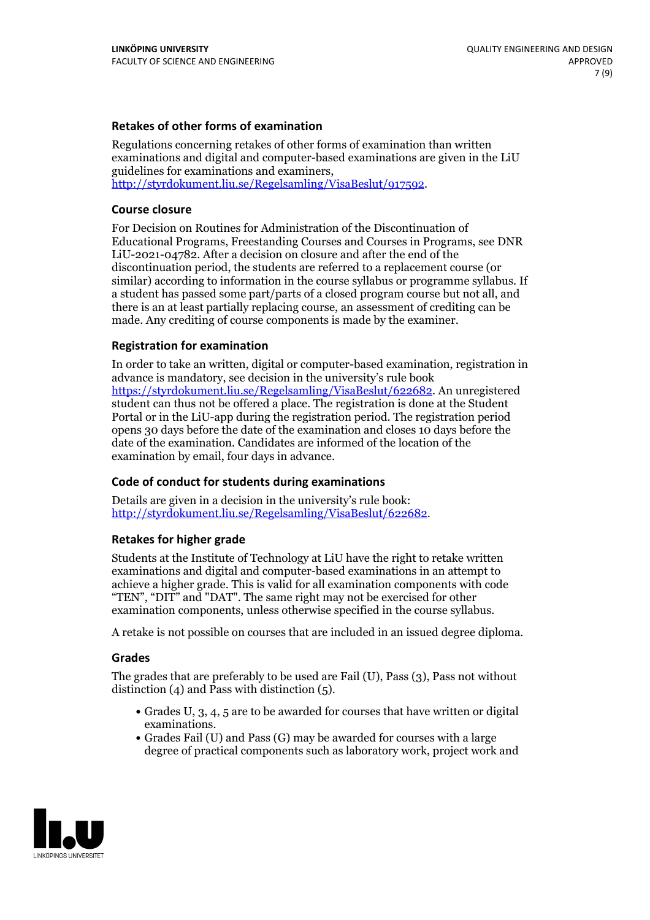### **Retakes of other forms of examination**

Regulations concerning retakes of other forms of examination than written examinations and digital and computer-based examinations are given in the LiU guidelines for examinations and examiners, [http://styrdokument.liu.se/Regelsamling/VisaBeslut/917592.](http://styrdokument.liu.se/Regelsamling/VisaBeslut/917592)

#### **Course closure**

For Decision on Routines for Administration of the Discontinuation of Educational Programs, Freestanding Courses and Courses in Programs, see DNR LiU-2021-04782. After a decision on closure and after the end of the discontinuation period, the students are referred to a replacement course (or similar) according to information in the course syllabus or programme syllabus. If a student has passed some part/parts of a closed program course but not all, and there is an at least partially replacing course, an assessment of crediting can be made. Any crediting of course components is made by the examiner.

### **Registration for examination**

In order to take an written, digital or computer-based examination, registration in advance is mandatory, see decision in the university's rule book [https://styrdokument.liu.se/Regelsamling/VisaBeslut/622682.](https://styrdokument.liu.se/Regelsamling/VisaBeslut/622682) An unregistered student can thus not be offered a place. The registration is done at the Student Portal or in the LiU-app during the registration period. The registration period opens 30 days before the date of the examination and closes 10 days before the date of the examination. Candidates are informed of the location of the examination by email, four days in advance.

### **Code of conduct for students during examinations**

Details are given in a decision in the university's rule book: <http://styrdokument.liu.se/Regelsamling/VisaBeslut/622682>.

#### **Retakes for higher grade**

Students at the Institute of Technology at LiU have the right to retake written examinations and digital and computer-based examinations in an attempt to achieve a higher grade. This is valid for all examination components with code "TEN", "DIT" and "DAT". The same right may not be exercised for other examination components, unless otherwise specified in the course syllabus.

A retake is not possible on courses that are included in an issued degree diploma.

#### **Grades**

The grades that are preferably to be used are Fail (U), Pass (3), Pass not without distinction  $(4)$  and Pass with distinction  $(5)$ .

- Grades U, 3, 4, 5 are to be awarded for courses that have written or digital examinations.<br>• Grades Fail (U) and Pass (G) may be awarded for courses with a large
- degree of practical components such as laboratory work, project work and

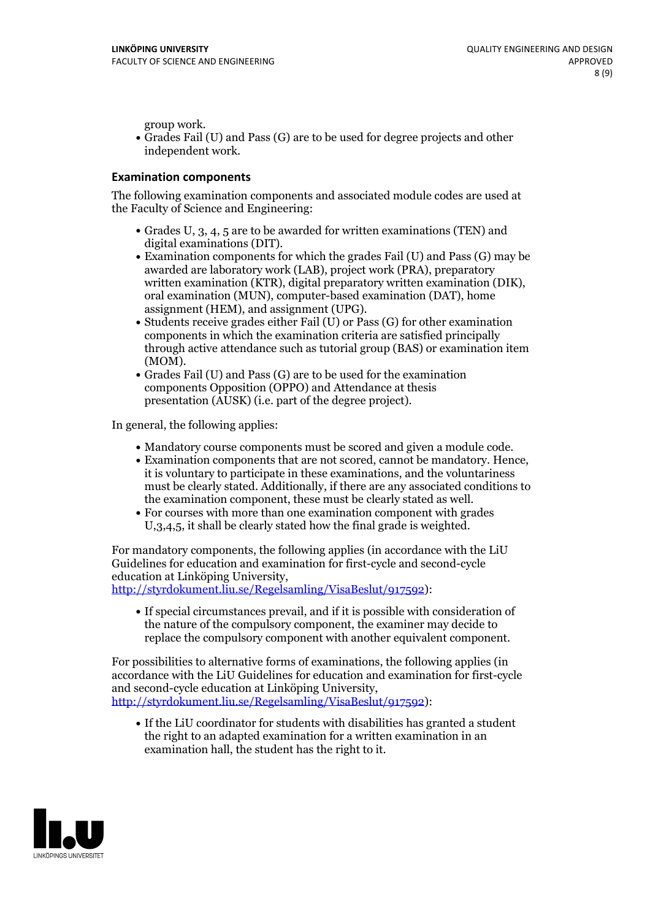group work.<br>• Grades Fail (U) and Pass (G) are to be used for degree projects and other independent work.

### **Examination components**

The following examination components and associated module codes are used at the Faculty of Science and Engineering:

- Grades U, 3, 4, 5 are to be awarded for written examinations (TEN) and
- digital examinations (DIT).<br>• Examination components for which the grades Fail (U) and Pass (G) may be awarded are laboratory work (LAB), project work (PRA), preparatory written examination (KTR), digital preparatory written examination (DIK), oral examination (MUN), computer-based examination (DAT), home
- assignment (HEM), and assignment (UPG).<br>• Students receive grades either Fail (U) or Pass (G) for other examination components in which the examination criteria are satisfied principally through active attendance such as tutorial group (BAS) or examination item
- (MOM).<br>• Grades Fail (U) and Pass (G) are to be used for the examination components Opposition (OPPO) and Attendance at thesis presentation (AUSK) (i.e. part of the degree project).

In general, the following applies:

- 
- Mandatory course components must be scored and given <sup>a</sup> module code. Examination components that are not scored, cannot be mandatory. Hence, it is voluntary to participate in these examinations, and the voluntariness must be clearly stated. Additionally, if there are any associated conditions to
- the examination component, these must be clearly stated as well.<br>• For courses with more than one examination component with grades U,3,4,5, it shall be clearly stated how the final grade is weighted.

For mandatory components, the following applies (in accordance with the LiU Guidelines for education and examination for first-cycle and second-cycle education at Linköping University,<br>[http://styrdokument.liu.se/Regelsamling/VisaBeslut/917592\)](http://styrdokument.liu.se/Regelsamling/VisaBeslut/917592):

If special circumstances prevail, and if it is possible with consideration of the nature of the compulsory component, the examiner may decide to replace the compulsory component with another equivalent component.

For possibilities to alternative forms of examinations, the following applies (in accordance with the LiU Guidelines for education and examination for first-cycle [http://styrdokument.liu.se/Regelsamling/VisaBeslut/917592\)](http://styrdokument.liu.se/Regelsamling/VisaBeslut/917592):

If the LiU coordinator for students with disabilities has granted a student the right to an adapted examination for a written examination in an examination hall, the student has the right to it.